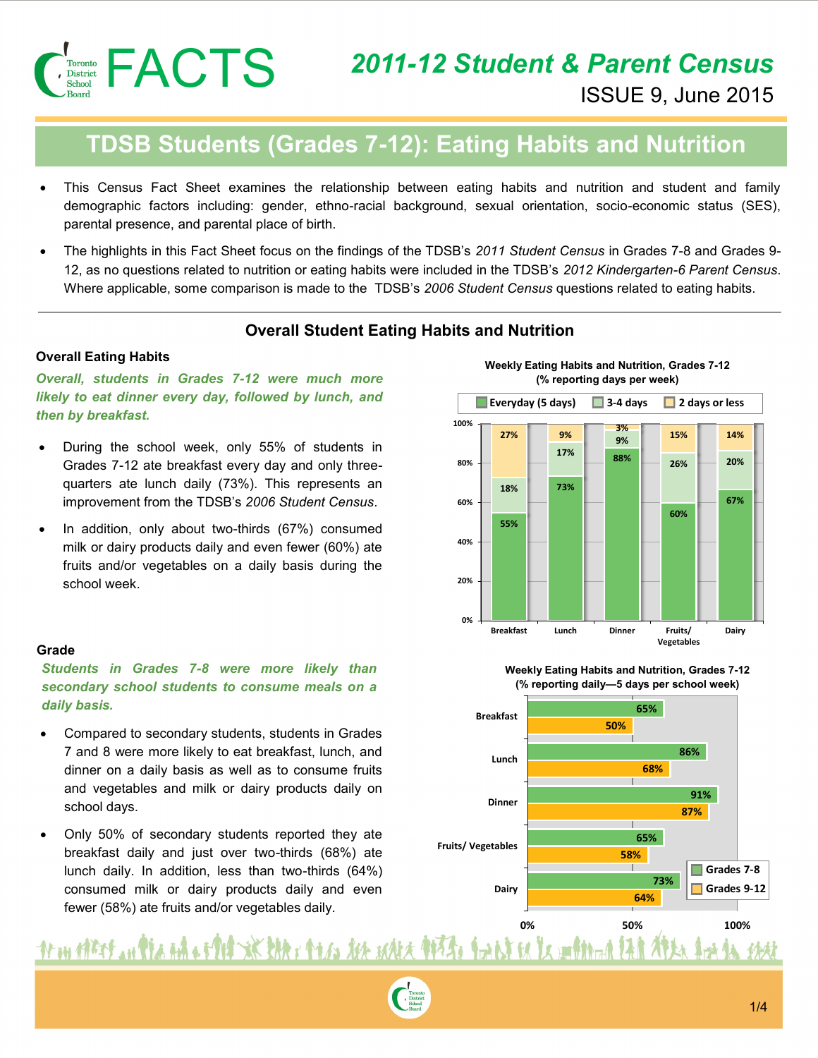

**(% reporting days per week)**

#### **TDSB Students (Grades 7-12): Eating Habits and Nutrition 9% 27% 9% 3% 15% 14% 100%**

- This Census Fact Sheet examines the relationship between eating habits and nutrition and student and family **88% 26% 20% 80%** demographic factors including: gender, ethno-racial background, sexual orientation, socio-economic status (SES), **73% 18%** parental presence, and parental place of birth.
- The highlights in this Fact Sheet focus on the findings of the TDSB's *2011 Student Census* in Grades 7-8 and Grades 9- **60%** 12, as no questions related to nutrition or eating habits were included in the TDSB's *2012 Kindergarten-6 Parent Census*. **40%** Where applicable, some comparison is made to the TDSB's *2006 Student Census* questions related to eating habits.

#### **Overall Student Eating Habits and Nutrition**

**20%**

#### **Overall Eating Habits**

*Overall, students in Grades 7-12 were much more likely to eat dinner every day, followed by lunch, and then by breakfast.* 

- During the school week, only 55% of students in Grades 7-12 ate breakfast every day and only threequarters ate lunch daily (73%). This represents an improvement from the TDSB's *2006 Student Census*. The highlights in this Fact Sheet focus on the findings of the TDSB's 2012, as no questions related to nutrition or eating habits were included in t<br>
Where applicable, some comparison is made to the TDSB's 2006 Studen<br>
Not
- In addition, only about two-thirds (67%) consumed milk or dairy products daily and even fewer (60%) ate fruits and/or vegetables on a daily basis during the

#### **Grade**

*Students in Grades 7-8 were more likely than secondary school students to consume meals on a daily basis.*

- Compared to secondary students, students in Grades 7 and 8 were more likely to eat breakfast, lunch, and dinner on a daily basis as well as to consume fruits and vegetables and milk or dairy products daily on school days.
- Only 50% of secondary students reported they ate breakfast daily and just over two-thirds (68%) ate lunch daily. In addition, less than two-thirds (64%) consumed milk or dairy products daily and even fewer (58%) ate fruits and/or vegetables daily.

**Breakfast Lunch Dinner Fruits/ Dairy Weekly Eating Habits and Nutrition, Grades 7-12**  (% reporting days per week)







# <u>Ar on afters an Placenta of PH SK EAR & PLAG ASK MALA PIEERs. Including la modification lan AFAnchora is </u>



休村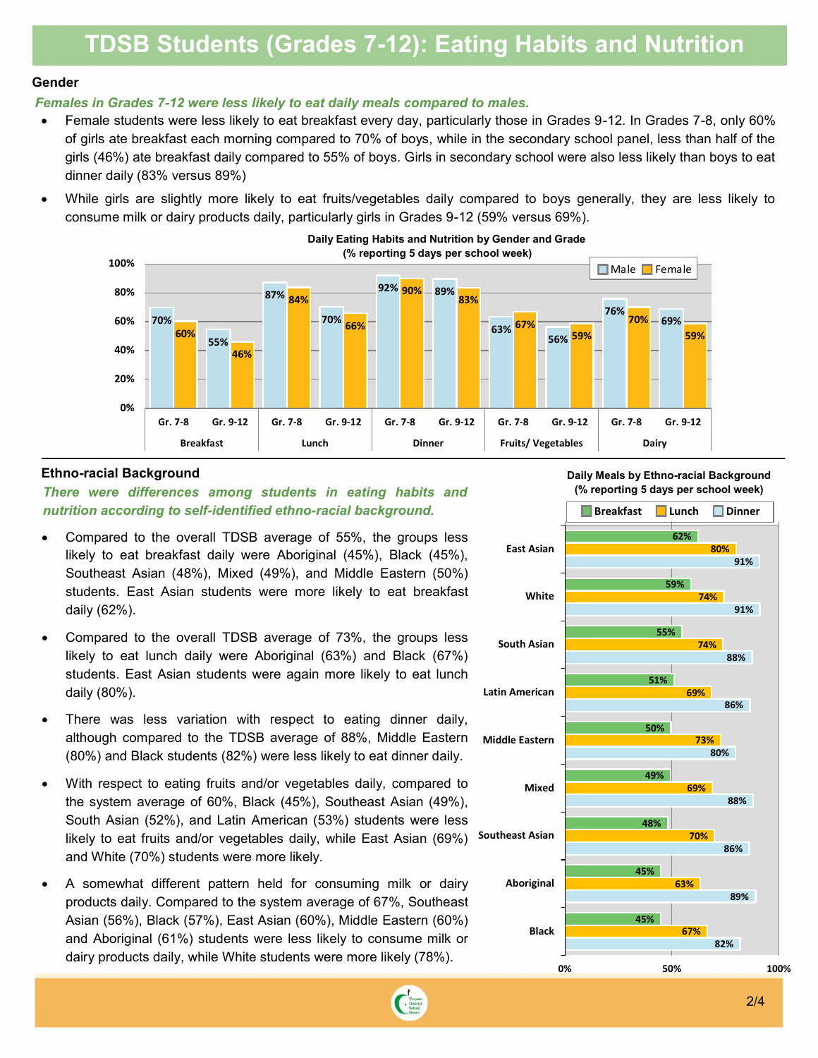#### **TDSB Students (Grades 7-12): Eating Habits and Nutrition** 40% **by Grade and Gender 59%**

**White**

#### **Gender**

### **29% 33% 32% 30%** *Females in Grades 7-12 were less likely to eat daily meals compared to males.*

- **8** Female students were less likely to eat breakfast every day, particularly those in Grades 9-12. In Grades 7-8, only 60% of girls ate breakfast each morning compared to 70% of boys, while in the secondary school panel, less than half of the **19%** girls (46%) ate breakfast daily compared to 55% of boys. Girls in secondary school were also less likely than boys to eat dinner daily (83% versus 89%) **22% 88%** those in Grades 9-12. In Grades 7-8, onl
- While girls are slightly more likely to eat fruits/vegetables daily compared to boys generally, they are less likely to 0% consume milk or dairy products daily, particularly girls in Grades 9-12 (59% versus 69%). **86%**



#### **Ethno-racial Background**

*There were differences among students in eating habits and nutrition according to self-identified ethno-racial background.* 

- Compared to the overall TDSB average of 55%, the groups less likely to eat breakfast daily were Aboriginal (45%), Black (45%), Southeast Asian (48%), Mixed (49%), and Middle Eastern (50%) students. East Asian students were more likely to eat breakfast daily (62%).
- Compared to the overall TDSB average of 73%, the groups less likely to eat lunch daily were Aboriginal (63%) and Black (67%) students. East Asian students were again more likely to eat lunch daily (80%).
- There was less variation with respect to eating dinner daily, although compared to the TDSB average of 88%, Middle Eastern (80%) and Black students (82%) were less likely to eat dinner daily.
- With respect to eating fruits and/or vegetables daily, compared to the system average of 60%, Black (45%), Southeast Asian (49%), South Asian (52%), and Latin American (53%) students were less likely to eat fruits and/or vegetables daily, while East Asian (69%) and White (70%) students were more likely.
- A somewhat different pattern held for consuming milk or dairy products daily. Compared to the system average of 67%, Southeast Asian (56%), Black (57%), East Asian (60%), Middle Eastern (60%) and Aboriginal (61%) students were less likely to consume milk or dairy products daily, while White students were more likely (78%).





**Daily Meals by Ethno-racial Background**

**82%**

**After School Screen Time Activities (More than 2 hours per day)** 

**74%**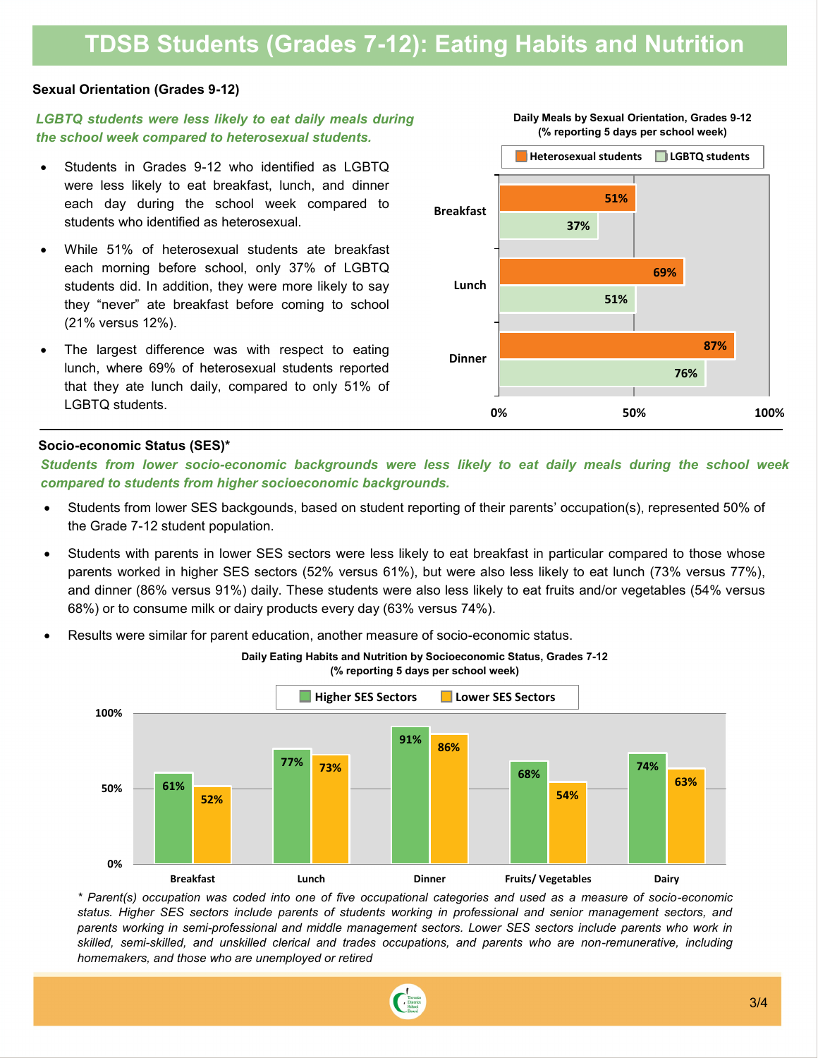## **TDSB Students (Grades 7-12): Eating Habits and Nutrition**

#### **Sexual Orientation (Grades 9-12)**

#### *LGBTQ students were less likely to eat daily meals during the school week compared to heterosexual students.*

- Students in Grades 9-12 who identified as LGBTQ were less likely to eat breakfast, lunch, and dinner each day during the school week compared to students who identified as heterosexual.
- While 51% of heterosexual students ate breakfast each morning before school, only 37% of LGBTQ students did. In addition, they were more likely to say they "never" ate breakfast before coming to school (21% versus 12%).
- The largest difference was with respect to eating lunch, where 69% of heterosexual students reported that they ate lunch daily, compared to only 51% of LGBTQ students.



**0% 50% 100%**

**Daily Meals by Sexual Orientation, Grades 9-12 Daily Meals by Sexual Orientation (Grades 9-12)**

#### **Socio-economic Status (SES)\***

**100%** *compared to students from higher socioeconomic backgrounds.Students from lower socio-economic backgrounds were less likely to eat daily meals during the school week* 

**Daily Eating Habits and Nutrition by Socioeconomic Status, Grades 7-12** 

- **91% 86%** Students from lower SES backgounds, based on student reporting of their parents' occupation(s), represented 50% of **68% 74%** the Grade 7-12 student population.
- **•** Students with parents in lower SES sectors were less likely to eat breakfast in particular compared to those whose **52% 54%** parents worked in higher SES sectors (52% versus 61%), but were also less likely to eat lunch (73% versus 77%), and dinner (86% versus 91%) daily. These students were also less likely to eat fruits and/or vegetables (54% versus 68%) or to consume milk or dairy products every day (63% versus 74%).
- **0%** Results were similar for parent education, another measure of socio-economic status.



*\* Parent(s) occupation was coded into one of five occupational categories and used as a measure of socio-economic*  status. Higher SES sectors include parents of students working in professional and senior management sectors, and *parents working in semi-professional and middle management sectors. Lower SES sectors include parents who work in skilled, semi-skilled, and unskilled clerical and trades occupations, and parents who are non-remunerative, including homemakers, and those who are unemployed or retired*